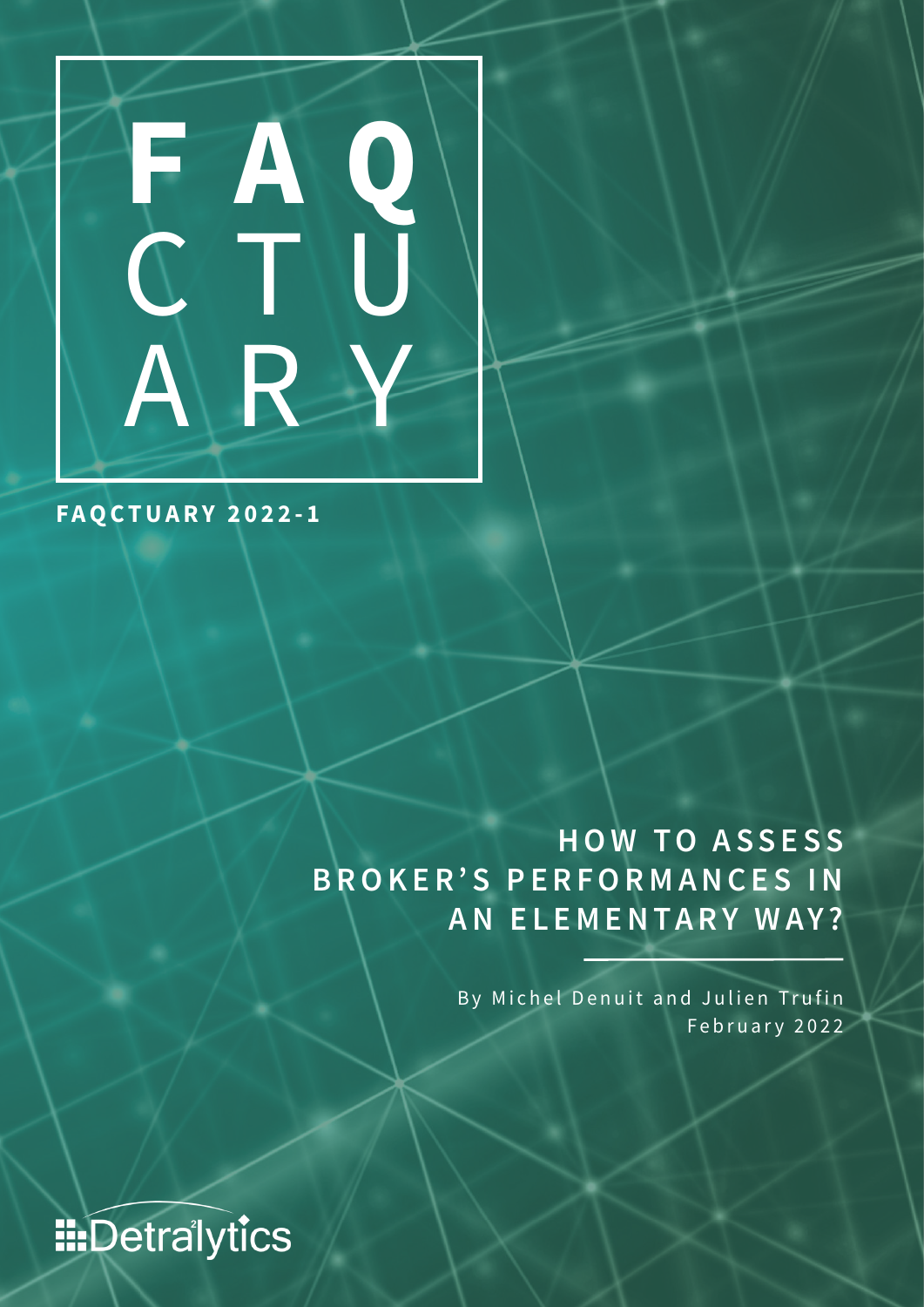

**FAQCTUARY 2022-1**

**HOW TO ASSESS BROKER'S PERFORMANCES IN AN ELEMENTARY WAY?**

> By Michel Denuit and Julien Trufin February 2022

**IIIDetralytics**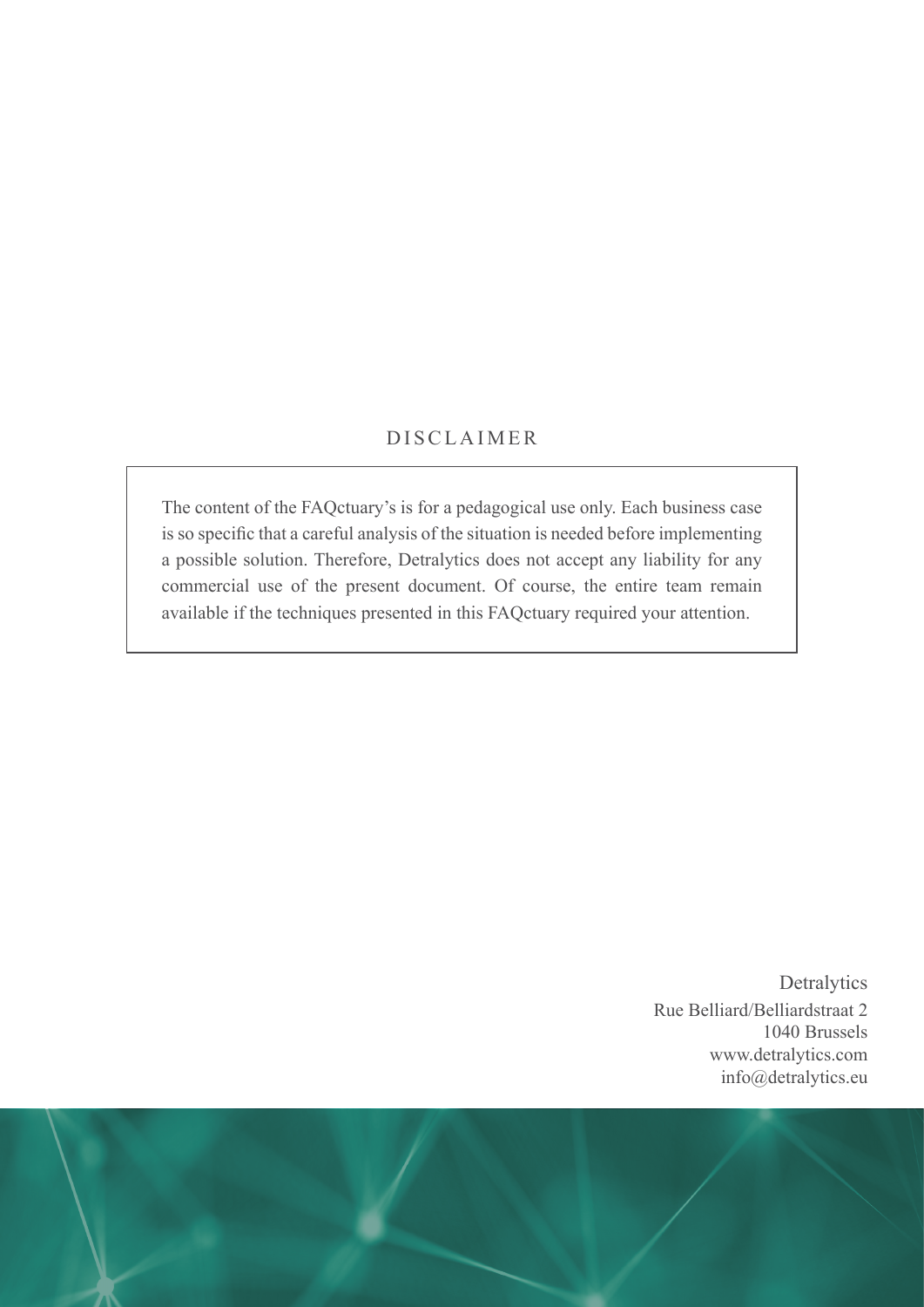#### DISCLAIMER

The content of the FAQctuary's is for a pedagogical use only. Each business case is so specific that a careful analysis of the situation is needed before implementing a possible solution. Therefore, Detralytics does not accept any liability for any commercial use of the present document. Of course, the entire team remain available if the techniques presented in this FAQctuary required your attention.

> **Detralytics** Rue Belliard/Belliardstraat 2 1040 Brussels www.detralytics.com info@detralytics.eu

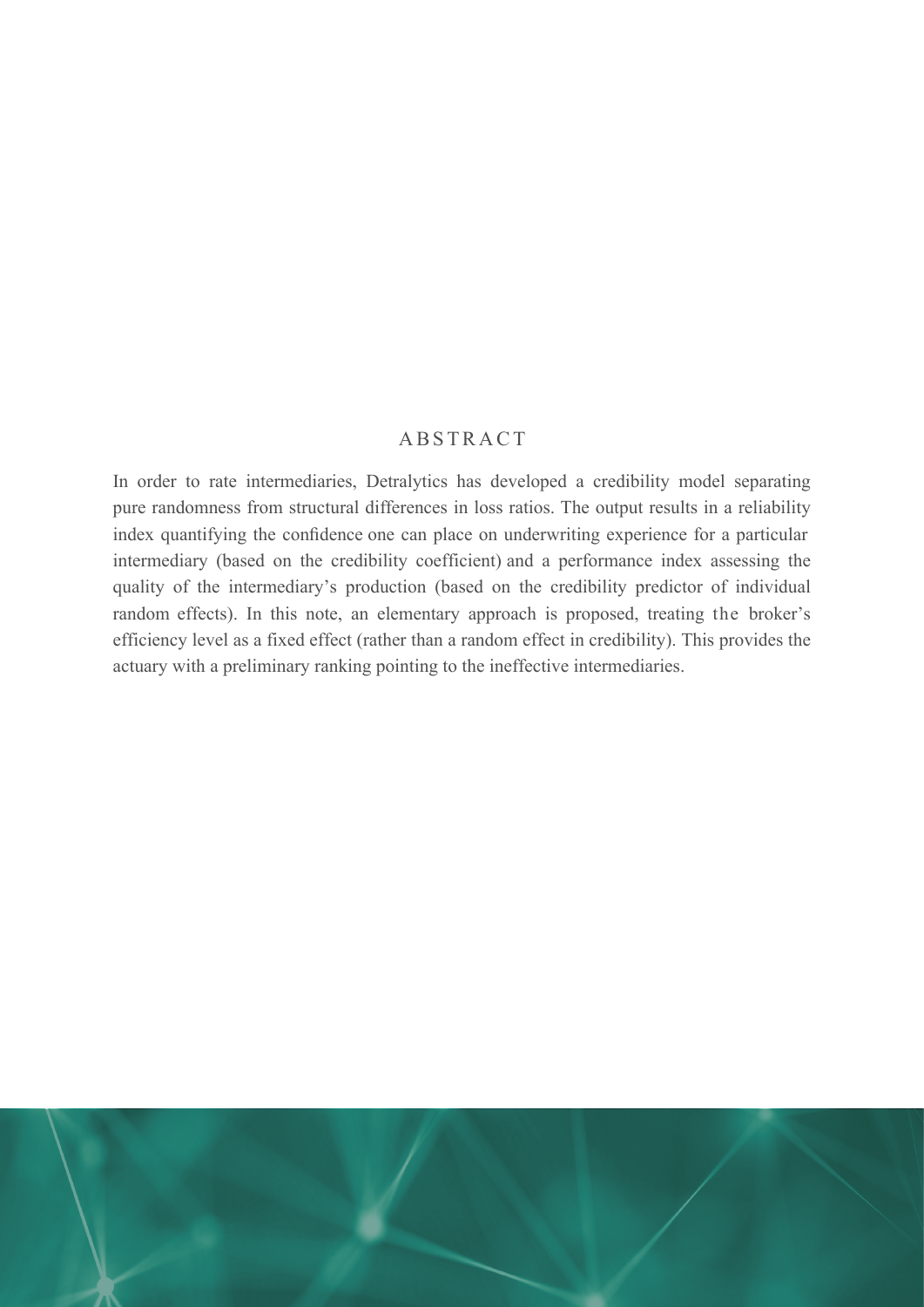#### ABSTRACT

In order to rate intermediaries, Detralytics has developed a credibility model separating pure randomness from structural differences in loss ratios. The output results in a reliability index quantifying the confidence one can place on underwriting experience for a particular intermediary (based on the credibility coefficient) and a performance index assessing the quality of the intermediary's production (based on the credibility predictor of individual random effects). In this note, an elementary approach is proposed, treating the broker's efficiency level as a fixed effect (rather than a random effect in credibility). This provides the actuary with a preliminary ranking pointing to the ineffective intermediaries.

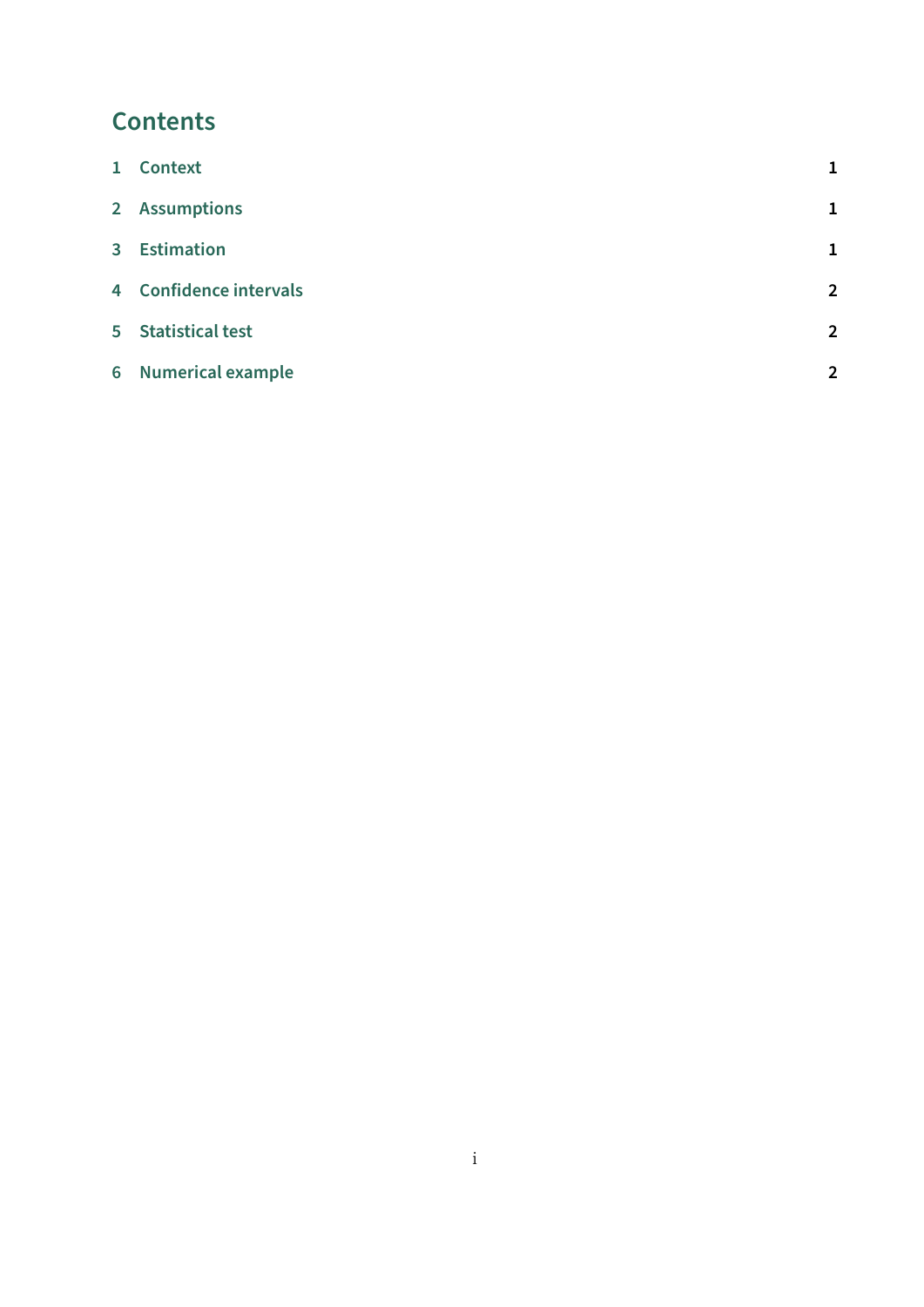# **Contents**

| 1 Context              |                |
|------------------------|----------------|
| 2 Assumptions          | $\mathbf{1}$   |
| 3 Estimation           | $\mathbf{1}$   |
| 4 Confidence intervals | $\overline{2}$ |
| 5 Statistical test     | $\overline{2}$ |
| 6 Numerical example    | $\overline{2}$ |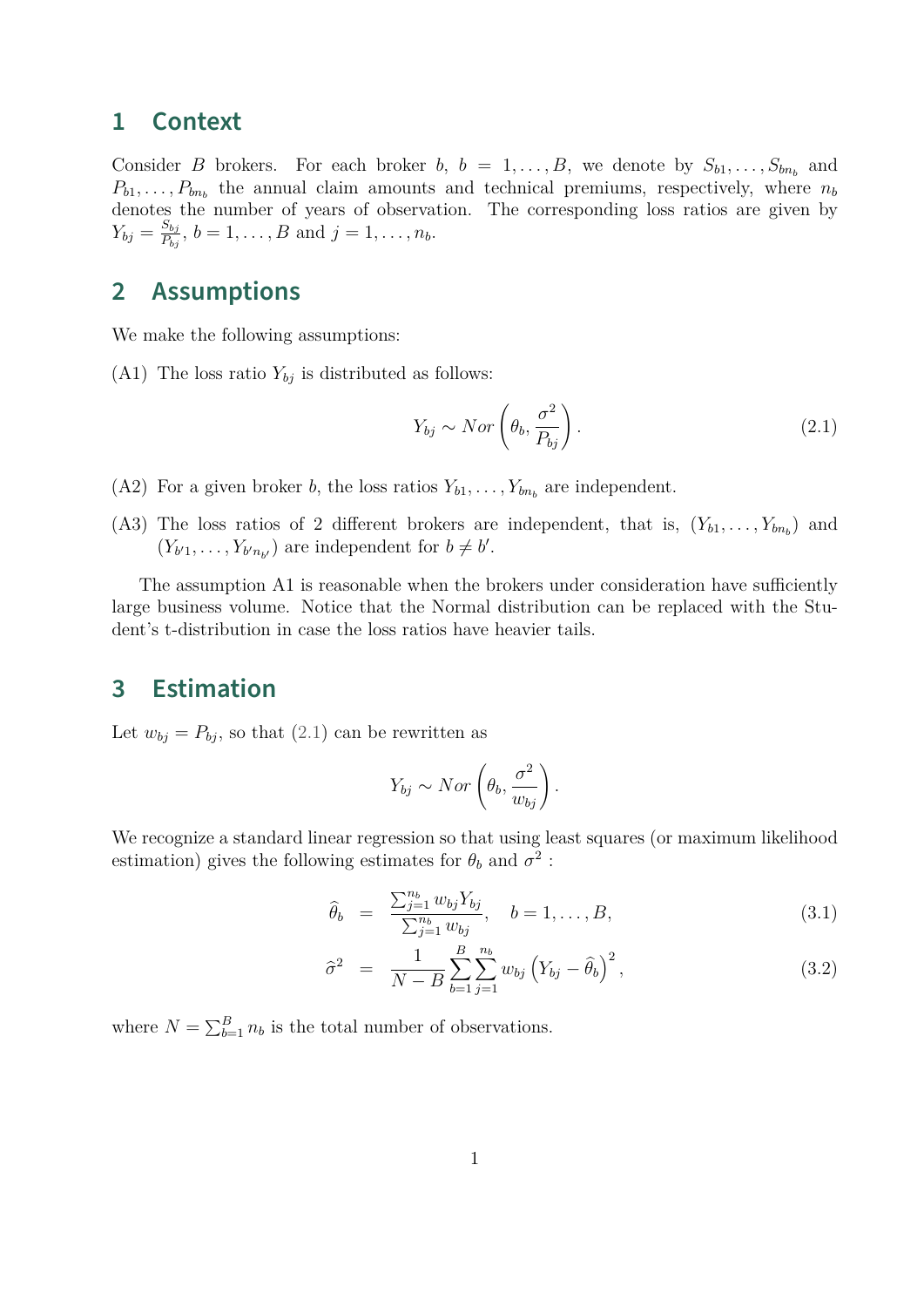#### <span id="page-4-0"></span>**1 Context**

Consider *B* brokers. For each broker *b*,  $b = 1, \ldots, B$ , we denote by  $S_{b1}, \ldots, S_{bn_b}$  and  $P_{b1}, \ldots, P_{bn_b}$  the annual claim amounts and technical premiums, respectively, where  $n_b$ denotes the number of years of observation. The corresponding loss ratios are given by  $Y_{bj} = \frac{S_{bj}}{P_{bi}}$  $\frac{B_{bj}}{P_{bj}}$ ,  $b = 1, ..., B$  and  $j = 1, ..., n_b$ .

## <span id="page-4-1"></span>**2 Assumptions**

We make the following assumptions:

(A1) The loss ratio  $Y_{bj}$  is distributed as follows:

<span id="page-4-3"></span>
$$
Y_{bj} \sim Nor\left(\theta_b, \frac{\sigma^2}{P_{bj}}\right). \tag{2.1}
$$

- (A2) For a given broker *b*, the loss ratios  $Y_{b1}, \ldots, Y_{bn_b}$  are independent.
- (A3) The loss ratios of 2 different brokers are independent, that is,  $(Y_{b1},...,Y_{bn_b})$  and  $(Y_{b'1}, \ldots, Y_{b'n_{b'}})$  are independent for  $b \neq b'$ .

The assumption A1 is reasonable when the brokers under consideration have sufficiently large business volume. Notice that the Normal distribution can be replaced with the Student's t-distribution in case the loss ratios have heavier tails.

# <span id="page-4-2"></span>**3 Estimation**

Let  $w_{bj} = P_{bj}$ , so that [\(2.1\)](#page-4-3) can be rewritten as

$$
Y_{bj} \sim Nor\left(\theta_b, \frac{\sigma^2}{w_{bj}}\right).
$$

We recognize a standard linear regression so that using least squares (or maximum likelihood estimation) gives the following estimates for  $\theta_b$  and  $\sigma^2$ :

<span id="page-4-4"></span>
$$
\widehat{\theta}_b = \frac{\sum_{j=1}^{n_b} w_{bj} Y_{bj}}{\sum_{j=1}^{n_b} w_{bj}}, \quad b = 1, \dots, B,
$$
\n(3.1)

$$
\hat{\sigma}^2 = \frac{1}{N-B} \sum_{b=1}^{B} \sum_{j=1}^{n_b} w_{bj} \left( Y_{bj} - \hat{\theta}_b \right)^2, \qquad (3.2)
$$

where  $N = \sum_{b=1}^{B} n_b$  is the total number of observations.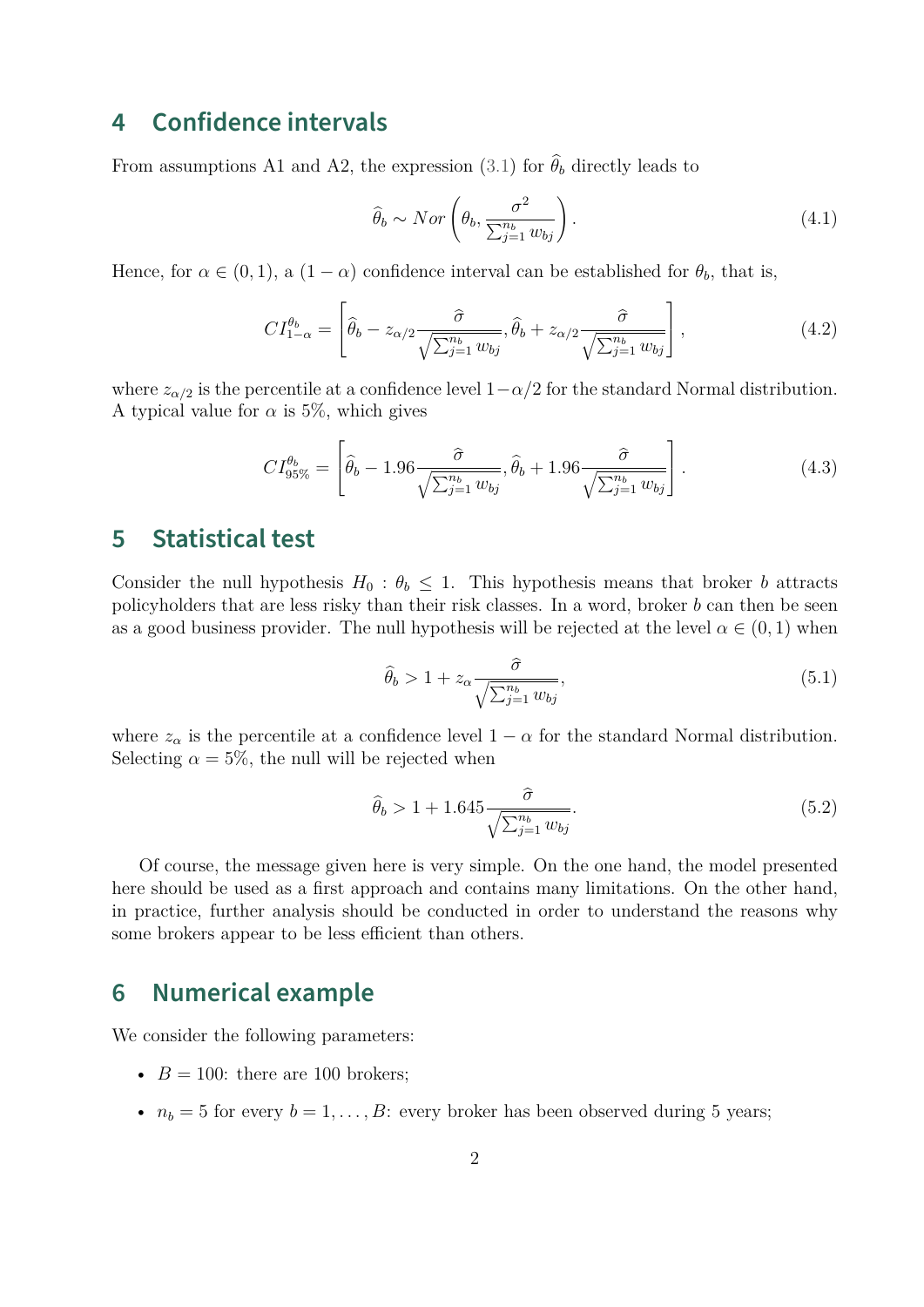### <span id="page-5-0"></span>**4 Confidence intervals**

From assumptions A1 and A2, the expression [\(3.1\)](#page-4-4) for  $\hat{\theta}_b$  directly leads to

$$
\hat{\theta}_b \sim Nor\left(\theta_b, \frac{\sigma^2}{\sum_{j=1}^{n_b} w_{bj}}\right). \tag{4.1}
$$

Hence, for  $\alpha \in (0,1)$ , a  $(1-\alpha)$  confidence interval can be established for  $\theta_b$ , that is,

$$
CI_{1-\alpha}^{\theta_b} = \left[ \hat{\theta}_b - z_{\alpha/2} \frac{\hat{\sigma}}{\sqrt{\sum_{j=1}^{n_b} w_{bj}}} , \hat{\theta}_b + z_{\alpha/2} \frac{\hat{\sigma}}{\sqrt{\sum_{j=1}^{n_b} w_{bj}}} \right],
$$
(4.2)

where  $z_{\alpha/2}$  is the percentile at a confidence level  $1-\alpha/2$  for the standard Normal distribution. A typical value for  $\alpha$  is 5%, which gives

$$
CI_{95\%}^{\theta_b} = \left[ \hat{\theta}_b - 1.96 \frac{\hat{\sigma}}{\sqrt{\sum_{j=1}^{n_b} w_{bj}}}, \hat{\theta}_b + 1.96 \frac{\hat{\sigma}}{\sqrt{\sum_{j=1}^{n_b} w_{bj}} \right].
$$
 (4.3)

# <span id="page-5-1"></span>**5 Statistical test**

Consider the null hypothesis  $H_0: \theta_b \leq 1$ . This hypothesis means that broker *b* attracts policyholders that are less risky than their risk classes. In a word, broker *b* can then be seen as a good business provider. The null hypothesis will be rejected at the level  $\alpha \in (0,1)$  when

$$
\widehat{\theta}_b > 1 + z_\alpha \frac{\widehat{\sigma}}{\sqrt{\sum_{j=1}^{n_b} w_{bj}}},\tag{5.1}
$$

where  $z_\alpha$  is the percentile at a confidence level  $1 - \alpha$  for the standard Normal distribution. Selecting  $\alpha = 5\%$ , the null will be rejected when

<span id="page-5-3"></span>
$$
\hat{\theta}_b > 1 + 1.645 \frac{\hat{\sigma}}{\sqrt{\sum_{j=1}^{n_b} w_{bj}}}.
$$
\n(5.2)

Of course, the message given here is very simple. On the one hand, the model presented here should be used as a first approach and contains many limitations. On the other hand, in practice, further analysis should be conducted in order to understand the reasons why some brokers appear to be less efficient than others.

### <span id="page-5-2"></span>**6 Numerical example**

We consider the following parameters:

- $B = 100$ : there are 100 brokers;
- $n_b = 5$  for every  $b = 1, \ldots, B$ : every broker has been observed during 5 years;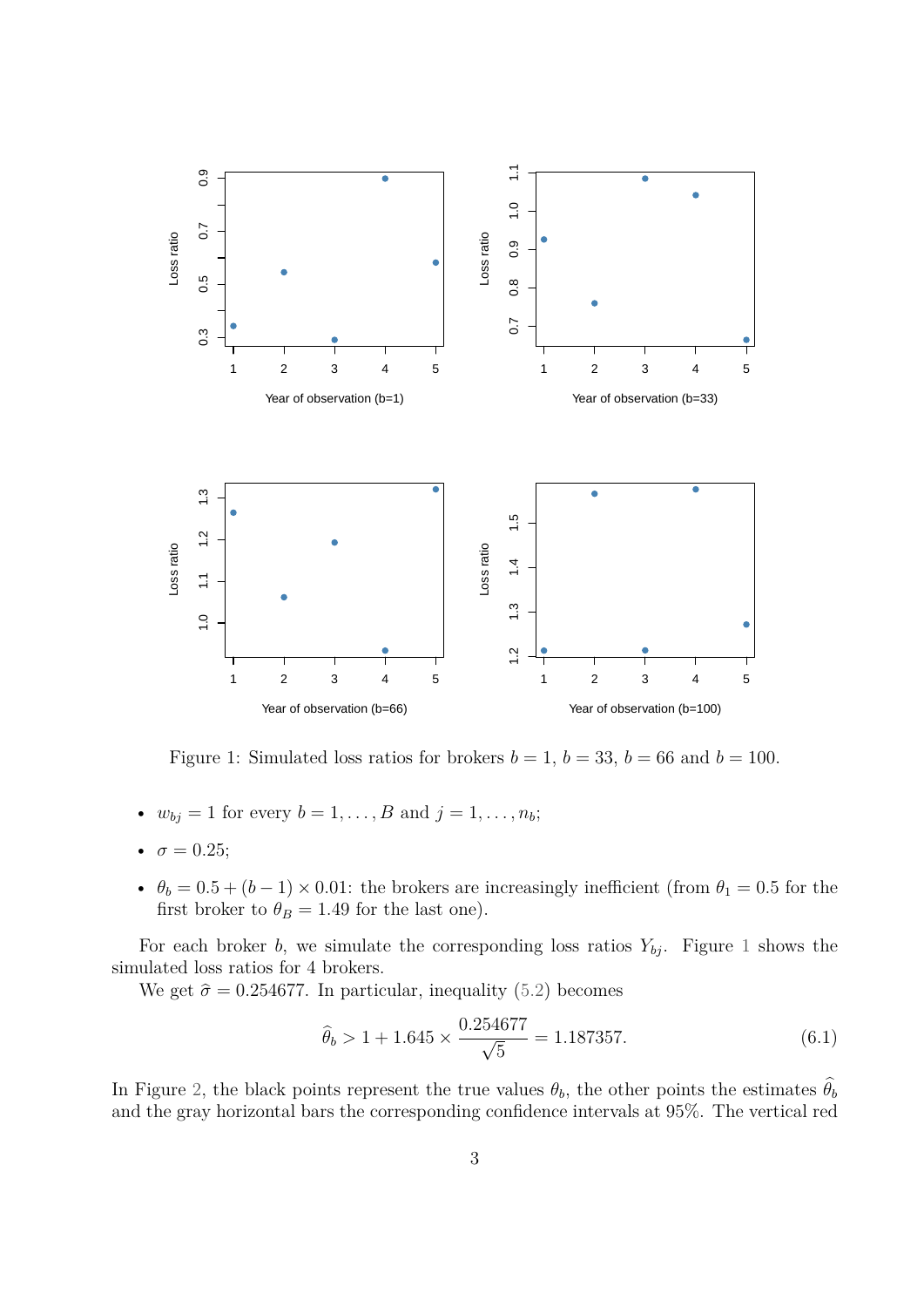<span id="page-6-0"></span>

Figure 1: Simulated loss ratios for brokers  $b = 1$ ,  $b = 33$ ,  $b = 66$  and  $b = 100$ .

- $w_{bj} = 1$  for every  $b = 1, ..., B$  and  $j = 1, ..., n_b$ ;
- $\sigma = 0.25;$
- $\theta_b = 0.5 + (b-1) \times 0.01$ : the brokers are increasingly inefficient (from  $\theta_1 = 0.5$  for the first broker to  $\theta_B = 1.49$  for the last one).

For each broker *b*, we simulate the corresponding loss ratios  $Y_{bj}$ . Figure [1](#page-6-0) shows the simulated loss ratios for 4 brokers.

We get  $\hat{\sigma} = 0.254677$ . In particular, inequality [\(5.2\)](#page-5-3) becomes

<span id="page-6-1"></span>
$$
\hat{\theta}_b > 1 + 1.645 \times \frac{0.254677}{\sqrt{5}} = 1.187357. \tag{6.1}
$$

In Figure [2,](#page-7-0) the black points represent the true values  $\theta_b$ , the other points the estimates  $\hat{\theta_b}$ and the gray horizontal bars the corresponding confidence intervals at 95%. The vertical red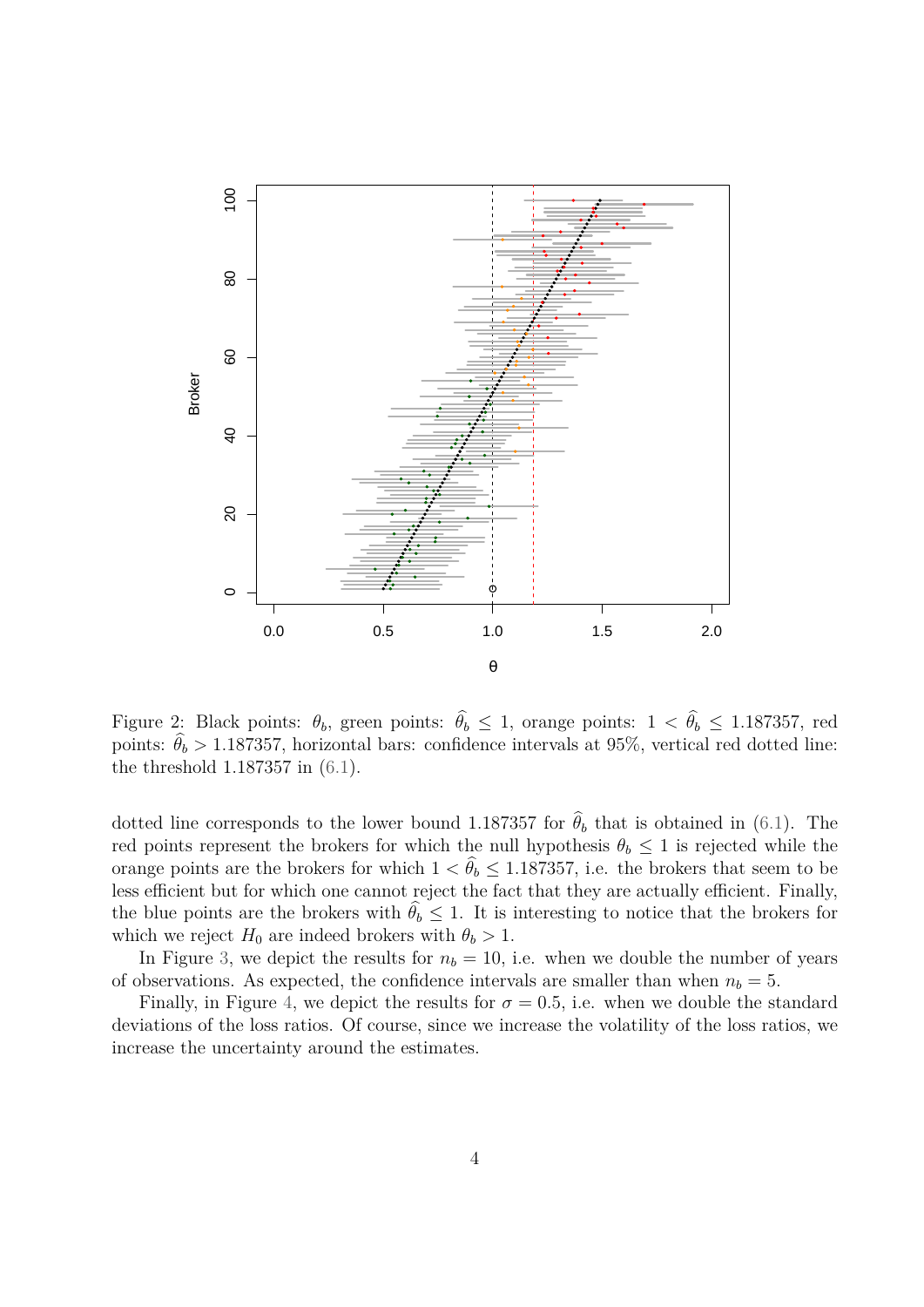<span id="page-7-0"></span>

Figure 2: Black points:  $\theta_b$ , green points:  $\hat{\theta_b} \leq 1$ , orange points:  $1 < \hat{\theta_b} \leq 1.187357$ , red points:  $\theta_b > 1.187357$ , horizontal bars: confidence intervals at 95%, vertical red dotted line: the threshold 1*.*187357 in [\(6.1\)](#page-6-1).

dotted line corresponds to the lower bound 1.187357 for  $\hat{\theta}_b$  that is obtained in [\(6.1\)](#page-6-1). The red points represent the brokers for which the null hypothesis  $\theta_b \leq 1$  is rejected while the orange points are the brokers for which  $1 < \hat{\theta}_b \leq 1.187357$ , i.e. the brokers that seem to be less efficient but for which one cannot reject the fact that they are actually efficient. Finally, the blue points are the brokers with  $\hat{\theta}_b \leq 1$ . It is interesting to notice that the brokers for which we reject  $H_0$  are indeed brokers with  $\theta_b > 1$ .

In Figure [3,](#page-8-0) we depict the results for  $n<sub>b</sub> = 10$ , i.e. when we double the number of years of observations. As expected, the confidence intervals are smaller than when  $n_b = 5$ .

Finally, in Figure [4,](#page-9-0) we depict the results for  $\sigma = 0.5$ , i.e. when we double the standard deviations of the loss ratios. Of course, since we increase the volatility of the loss ratios, we increase the uncertainty around the estimates.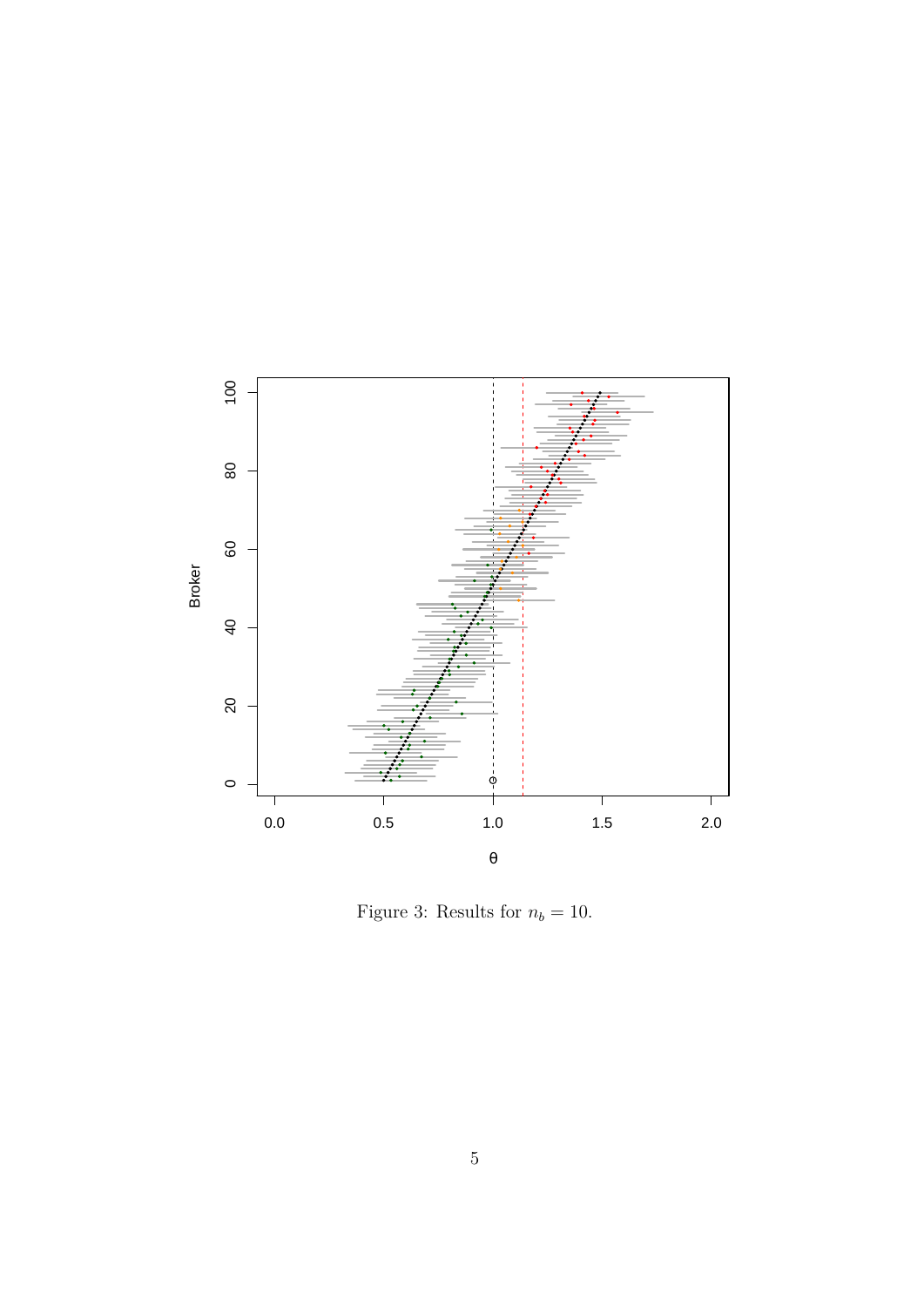<span id="page-8-0"></span>

Figure 3: Results for  $n_b = 10$ .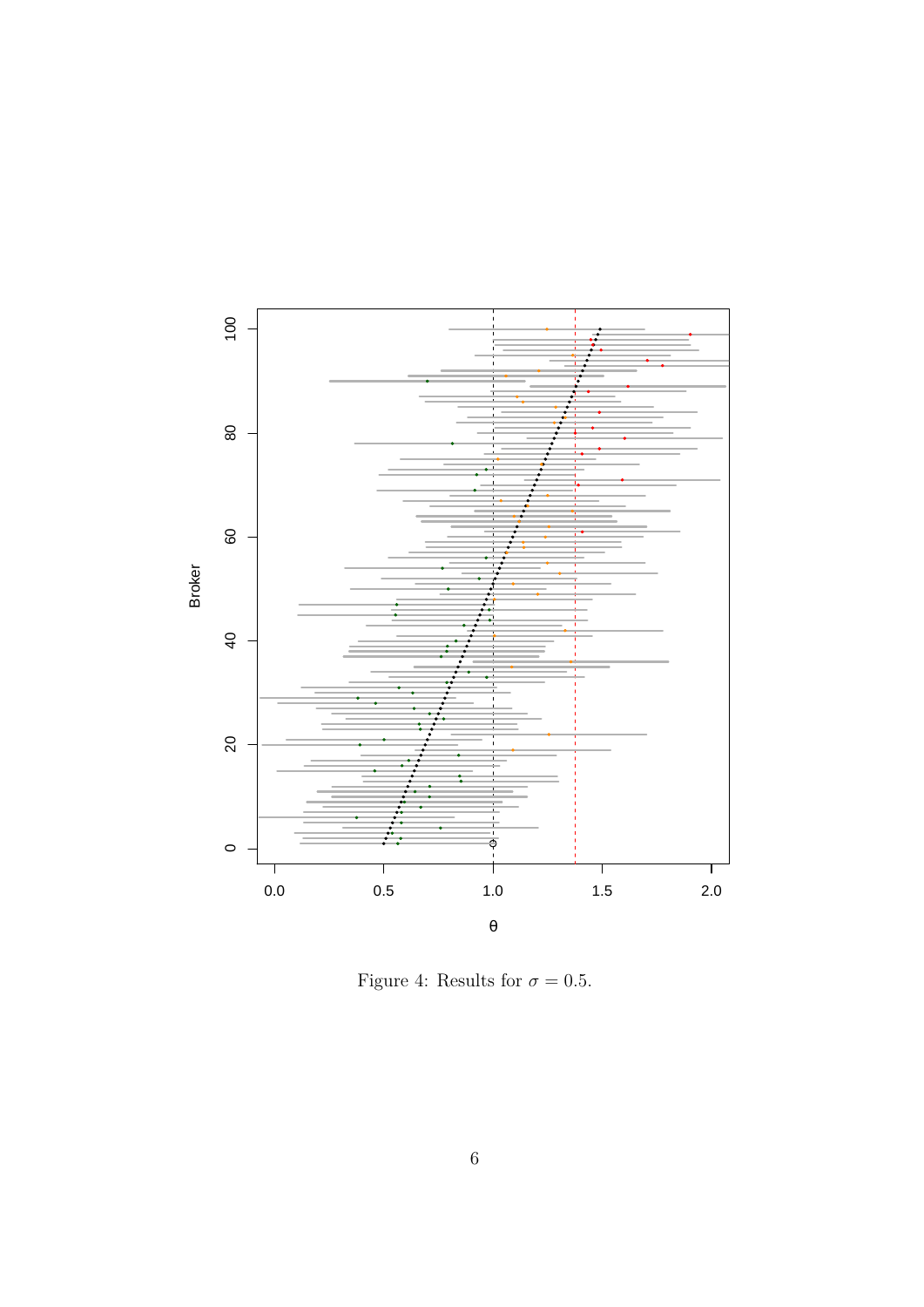<span id="page-9-0"></span>

Figure 4: Results for  $\sigma = 0.5$ .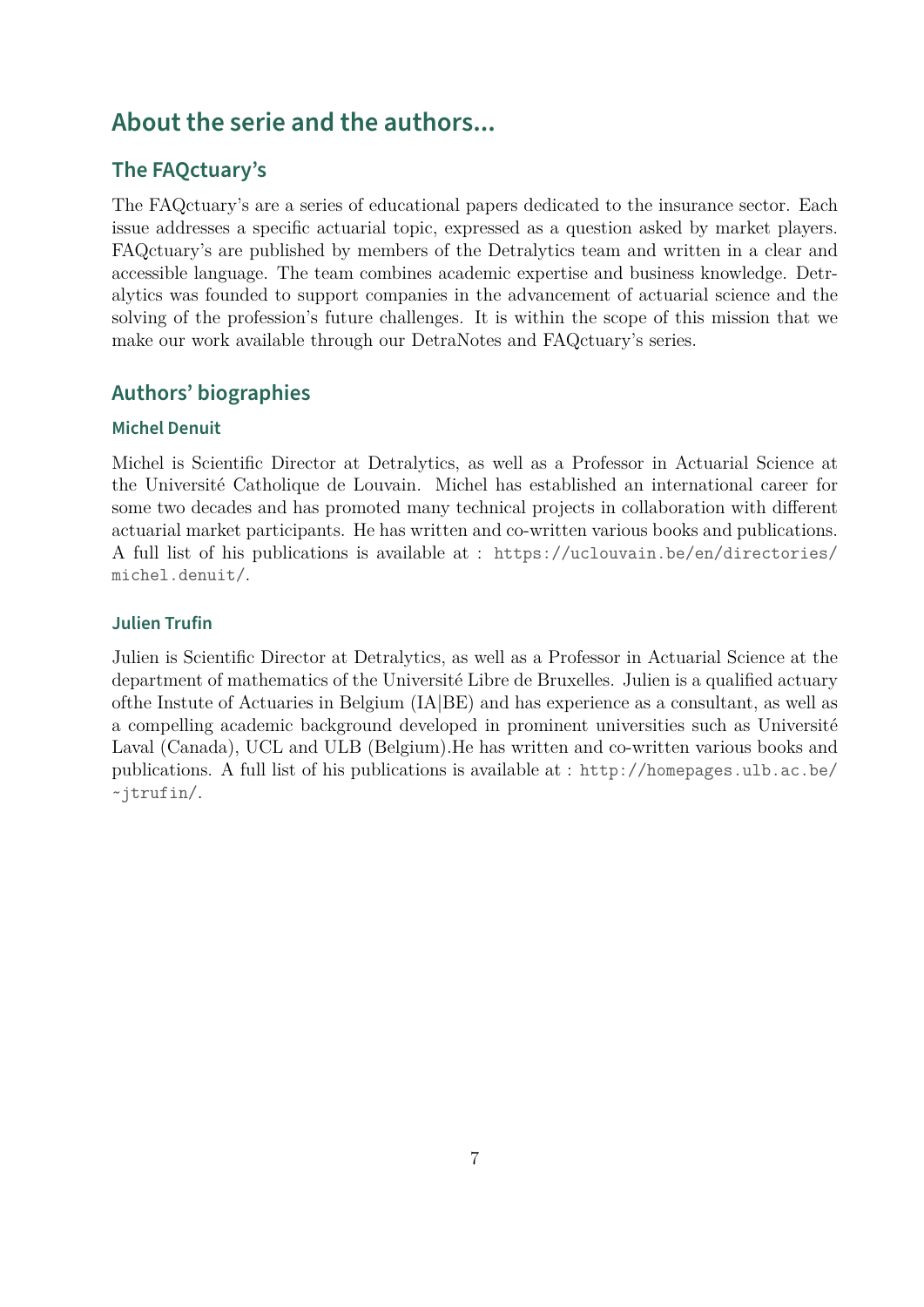# **About the serie and the authors...**

#### **The FAQctuary's**

The FAQctuary's are a series of educational papers dedicated to the insurance sector. Each issue addresses a specific actuarial topic, expressed as a question asked by market players. FAQctuary's are published by members of the Detralytics team and written in a clear and accessible language. The team combines academic expertise and business knowledge. Detralytics was founded to support companies in the advancement of actuarial science and the solving of the profession's future challenges. It is within the scope of this mission that we make our work available through our DetraNotes and FAQctuary's series.

#### **Authors' biographies**

#### **Michel Denuit**

Michel is Scientific Director at Detralytics, as well as a Professor in Actuarial Science at the Université Catholique de Louvain. Michel has established an international career for some two decades and has promoted many technical projects in collaboration with different actuarial market participants. He has written and co-written various books and publications. A full list of his publications is available at : [https://uclouvain.be/en/directories/]( https://uclouvain.be/en/directories/michel.denuit/) [michel.denuit/]( https://uclouvain.be/en/directories/michel.denuit/).

#### **Julien Trufin**

Julien is Scientific Director at Detralytics, as well as a Professor in Actuarial Science at the department of mathematics of the Université Libre de Bruxelles. Julien is a qualified actuary ofthe Instute of Actuaries in Belgium (IA|BE) and has experience as a consultant, as well as a compelling academic background developed in prominent universities such as Université Laval (Canada), UCL and ULB (Belgium).He has written and co-written various books and publications. A full list of his publications is available at : [http://homepages.ulb.ac.be/](http://homepages.ulb.ac.be/ ~jtrufin/) [~jtrufin/](http://homepages.ulb.ac.be/ ~jtrufin/).